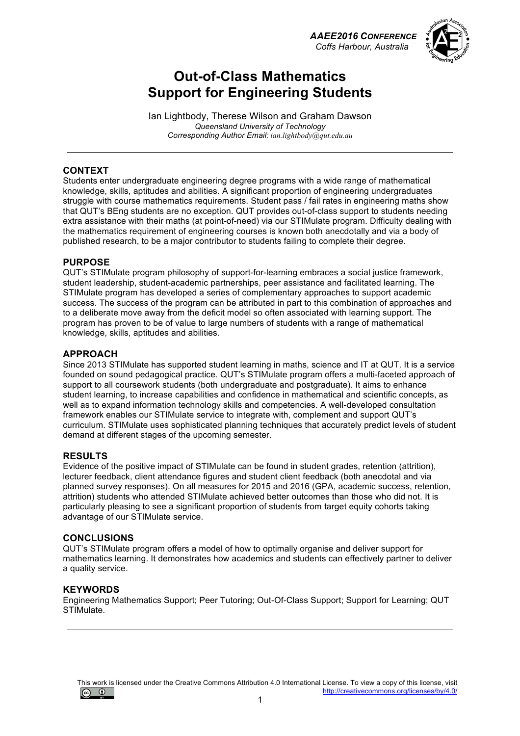



## **Out-of-Class Mathematics Support for Engineering Students**

Ian Lightbody, Therese Wilson and Graham Dawson *Queensland University of Technology Corresponding Author Email: ian.lightbody@qut.edu.au*

#### **CONTEXT**

Students enter undergraduate engineering degree programs with a wide range of mathematical knowledge, skills, aptitudes and abilities. A significant proportion of engineering undergraduates struggle with course mathematics requirements. Student pass / fail rates in engineering maths show that QUT's BEng students are no exception. QUT provides out-of-class support to students needing extra assistance with their maths (at point-of-need) via our STIMulate program. Difficulty dealing with the mathematics requirement of engineering courses is known both anecdotally and via a body of published research, to be a major contributor to students failing to complete their degree.

#### **PURPOSE**

QUT's STIMulate program philosophy of support-for-learning embraces a social justice framework, student leadership, student-academic partnerships, peer assistance and facilitated learning. The STIMulate program has developed a series of complementary approaches to support academic success. The success of the program can be attributed in part to this combination of approaches and to a deliberate move away from the deficit model so often associated with learning support. The program has proven to be of value to large numbers of students with a range of mathematical knowledge, skills, aptitudes and abilities.

#### **APPROACH**

Since 2013 STIMulate has supported student learning in maths, science and IT at QUT. It is a service founded on sound pedagogical practice. QUT's STIMulate program offers a multi-faceted approach of support to all coursework students (both undergraduate and postgraduate). It aims to enhance student learning, to increase capabilities and confidence in mathematical and scientific concepts, as well as to expand information technology skills and competencies. A well-developed consultation framework enables our STIMulate service to integrate with, complement and support QUT's curriculum. STIMulate uses sophisticated planning techniques that accurately predict levels of student demand at different stages of the upcoming semester.

#### **RESULTS**

Evidence of the positive impact of STIMulate can be found in student grades, retention (attrition), lecturer feedback, client attendance figures and student client feedback (both anecdotal and via planned survey responses). On all measures for 2015 and 2016 (GPA, academic success, retention, attrition) students who attended STIMulate achieved better outcomes than those who did not. It is particularly pleasing to see a significant proportion of students from target equity cohorts taking advantage of our STIMulate service.

#### **CONCLUSIONS**

QUT's STIMulate program offers a model of how to optimally organise and deliver support for mathematics learning. It demonstrates how academics and students can effectively partner to deliver a quality service.

#### **KEYWORDS**

Engineering Mathematics Support; Peer Tutoring; Out-Of-Class Support; Support for Learning; QUT STIMulate.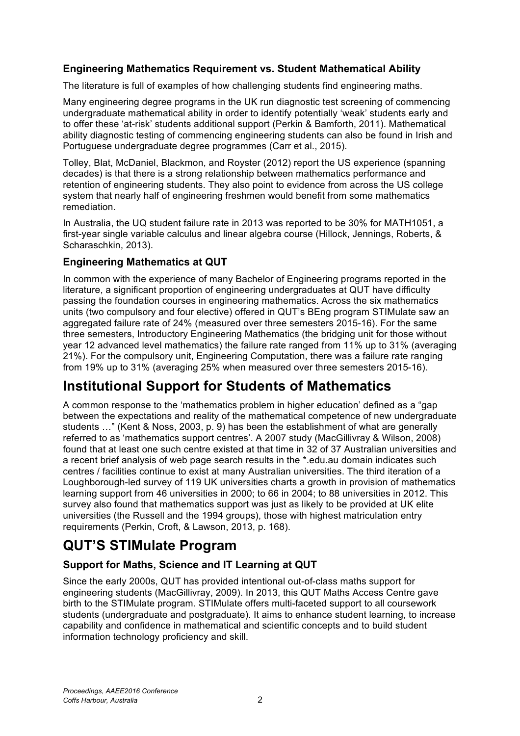## **Engineering Mathematics Requirement vs. Student Mathematical Ability**

The literature is full of examples of how challenging students find engineering maths.

Many engineering degree programs in the UK run diagnostic test screening of commencing undergraduate mathematical ability in order to identify potentially 'weak' students early and to offer these 'at-risk' students additional support (Perkin & Bamforth, 2011). Mathematical ability diagnostic testing of commencing engineering students can also be found in Irish and Portuguese undergraduate degree programmes (Carr et al., 2015).

Tolley, Blat, McDaniel, Blackmon, and Royster (2012) report the US experience (spanning decades) is that there is a strong relationship between mathematics performance and retention of engineering students. They also point to evidence from across the US college system that nearly half of engineering freshmen would benefit from some mathematics remediation.

In Australia, the UQ student failure rate in 2013 was reported to be 30% for MATH1051, a first-year single variable calculus and linear algebra course (Hillock, Jennings, Roberts, & Scharaschkin, 2013).

### **Engineering Mathematics at QUT**

In common with the experience of many Bachelor of Engineering programs reported in the literature, a significant proportion of engineering undergraduates at QUT have difficulty passing the foundation courses in engineering mathematics. Across the six mathematics units (two compulsory and four elective) offered in QUT's BEng program STIMulate saw an aggregated failure rate of 24% (measured over three semesters 2015-16). For the same three semesters, Introductory Engineering Mathematics (the bridging unit for those without year 12 advanced level mathematics) the failure rate ranged from 11% up to 31% (averaging 21%). For the compulsory unit, Engineering Computation, there was a failure rate ranging from 19% up to 31% (averaging 25% when measured over three semesters 2015-16).

# **Institutional Support for Students of Mathematics**

A common response to the 'mathematics problem in higher education' defined as a "gap between the expectations and reality of the mathematical competence of new undergraduate students …" (Kent & Noss, 2003, p. 9) has been the establishment of what are generally referred to as 'mathematics support centres'. A 2007 study (MacGillivray & Wilson, 2008) found that at least one such centre existed at that time in 32 of 37 Australian universities and a recent brief analysis of web page search results in the \*.edu.au domain indicates such centres / facilities continue to exist at many Australian universities. The third iteration of a Loughborough-led survey of 119 UK universities charts a growth in provision of mathematics learning support from 46 universities in 2000; to 66 in 2004; to 88 universities in 2012. This survey also found that mathematics support was just as likely to be provided at UK elite universities (the Russell and the 1994 groups), those with highest matriculation entry requirements (Perkin, Croft, & Lawson, 2013, p. 168).

# **QUT'S STIMulate Program**

## **Support for Maths, Science and IT Learning at QUT**

Since the early 2000s, QUT has provided intentional out-of-class maths support for engineering students (MacGillivray, 2009). In 2013, this QUT Maths Access Centre gave birth to the STIMulate program. STIMulate offers multi-faceted support to all coursework students (undergraduate and postgraduate). It aims to enhance student learning, to increase capability and confidence in mathematical and scientific concepts and to build student information technology proficiency and skill.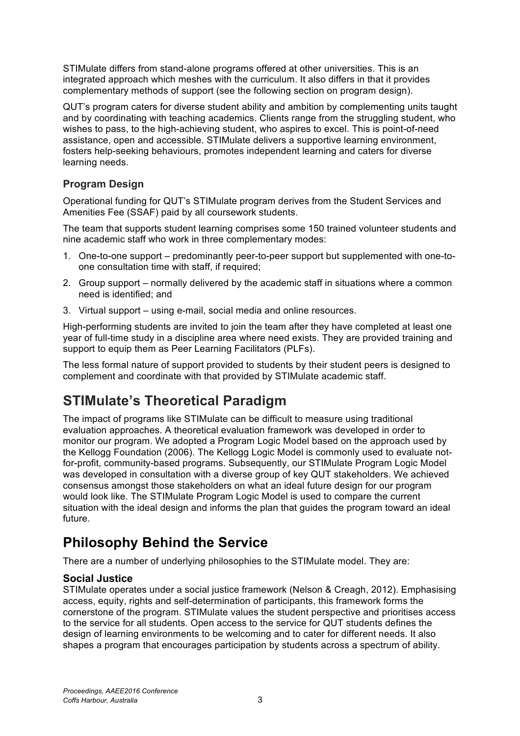STIMulate differs from stand-alone programs offered at other universities. This is an integrated approach which meshes with the curriculum. It also differs in that it provides complementary methods of support (see the following section on program design).

QUT's program caters for diverse student ability and ambition by complementing units taught and by coordinating with teaching academics. Clients range from the struggling student, who wishes to pass, to the high-achieving student, who aspires to excel. This is point-of-need assistance, open and accessible. STIMulate delivers a supportive learning environment, fosters help-seeking behaviours, promotes independent learning and caters for diverse learning needs.

### **Program Design**

Operational funding for QUT's STIMulate program derives from the Student Services and Amenities Fee (SSAF) paid by all coursework students.

The team that supports student learning comprises some 150 trained volunteer students and nine academic staff who work in three complementary modes:

- 1. One-to-one support predominantly peer-to-peer support but supplemented with one-toone consultation time with staff, if required;
- 2. Group support normally delivered by the academic staff in situations where a common need is identified; and
- 3. Virtual support using e-mail, social media and online resources.

High-performing students are invited to join the team after they have completed at least one year of full-time study in a discipline area where need exists. They are provided training and support to equip them as Peer Learning Facilitators (PLFs).

The less formal nature of support provided to students by their student peers is designed to complement and coordinate with that provided by STIMulate academic staff.

# **STIMulate's Theoretical Paradigm**

The impact of programs like STIMulate can be difficult to measure using traditional evaluation approaches. A theoretical evaluation framework was developed in order to monitor our program. We adopted a Program Logic Model based on the approach used by the Kellogg Foundation (2006). The Kellogg Logic Model is commonly used to evaluate notfor-profit, community-based programs. Subsequently, our STIMulate Program Logic Model was developed in consultation with a diverse group of key QUT stakeholders. We achieved consensus amongst those stakeholders on what an ideal future design for our program would look like. The STIMulate Program Logic Model is used to compare the current situation with the ideal design and informs the plan that guides the program toward an ideal future.

# **Philosophy Behind the Service**

There are a number of underlying philosophies to the STIMulate model. They are:

## **Social Justice**

STIMulate operates under a social justice framework (Nelson & Creagh, 2012). Emphasising access, equity, rights and self-determination of participants, this framework forms the cornerstone of the program. STIMulate values the student perspective and prioritises access to the service for all students. Open access to the service for QUT students defines the design of learning environments to be welcoming and to cater for different needs. It also shapes a program that encourages participation by students across a spectrum of ability.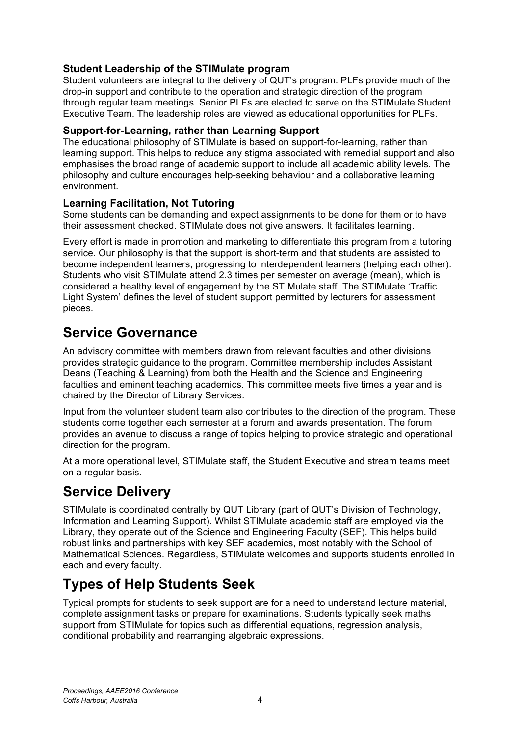## **Student Leadership of the STIMulate program**

Student volunteers are integral to the delivery of QUT's program. PLFs provide much of the drop-in support and contribute to the operation and strategic direction of the program through regular team meetings. Senior PLFs are elected to serve on the STIMulate Student Executive Team. The leadership roles are viewed as educational opportunities for PLFs.

### **Support-for-Learning, rather than Learning Support**

The educational philosophy of STIMulate is based on support-for-learning, rather than learning support. This helps to reduce any stigma associated with remedial support and also emphasises the broad range of academic support to include all academic ability levels. The philosophy and culture encourages help-seeking behaviour and a collaborative learning environment.

## **Learning Facilitation, Not Tutoring**

Some students can be demanding and expect assignments to be done for them or to have their assessment checked. STIMulate does not give answers. It facilitates learning.

Every effort is made in promotion and marketing to differentiate this program from a tutoring service. Our philosophy is that the support is short-term and that students are assisted to become independent learners, progressing to interdependent learners (helping each other). Students who visit STIMulate attend 2.3 times per semester on average (mean), which is considered a healthy level of engagement by the STIMulate staff. The STIMulate 'Traffic Light System' defines the level of student support permitted by lecturers for assessment pieces.

## **Service Governance**

An advisory committee with members drawn from relevant faculties and other divisions provides strategic guidance to the program. Committee membership includes Assistant Deans (Teaching & Learning) from both the Health and the Science and Engineering faculties and eminent teaching academics. This committee meets five times a year and is chaired by the Director of Library Services.

Input from the volunteer student team also contributes to the direction of the program. These students come together each semester at a forum and awards presentation. The forum provides an avenue to discuss a range of topics helping to provide strategic and operational direction for the program.

At a more operational level, STIMulate staff, the Student Executive and stream teams meet on a regular basis.

# **Service Delivery**

STIMulate is coordinated centrally by QUT Library (part of QUT's Division of Technology, Information and Learning Support). Whilst STIMulate academic staff are employed via the Library, they operate out of the Science and Engineering Faculty (SEF). This helps build robust links and partnerships with key SEF academics, most notably with the School of Mathematical Sciences. Regardless, STIMulate welcomes and supports students enrolled in each and every faculty.

# **Types of Help Students Seek**

Typical prompts for students to seek support are for a need to understand lecture material, complete assignment tasks or prepare for examinations. Students typically seek maths support from STIMulate for topics such as differential equations, regression analysis, conditional probability and rearranging algebraic expressions.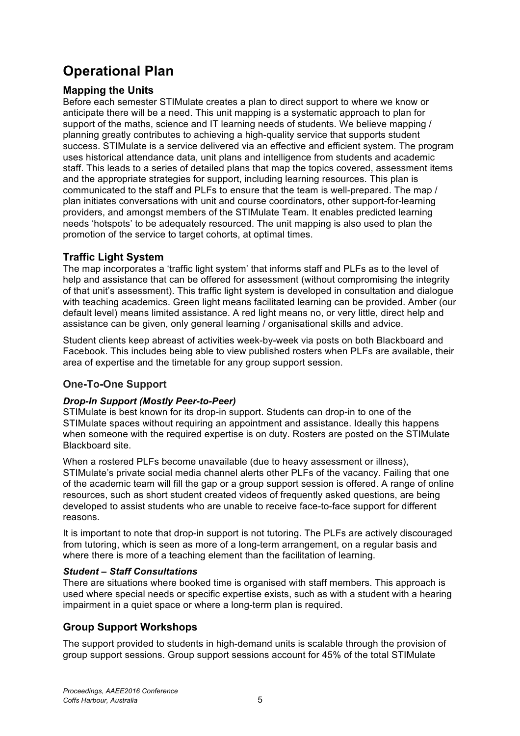# **Operational Plan**

### **Mapping the Units**

Before each semester STIMulate creates a plan to direct support to where we know or anticipate there will be a need. This unit mapping is a systematic approach to plan for support of the maths, science and IT learning needs of students. We believe mapping / planning greatly contributes to achieving a high-quality service that supports student success. STIMulate is a service delivered via an effective and efficient system. The program uses historical attendance data, unit plans and intelligence from students and academic staff. This leads to a series of detailed plans that map the topics covered, assessment items and the appropriate strategies for support, including learning resources. This plan is communicated to the staff and PLFs to ensure that the team is well-prepared. The map / plan initiates conversations with unit and course coordinators, other support-for-learning providers, and amongst members of the STIMulate Team. It enables predicted learning needs 'hotspots' to be adequately resourced. The unit mapping is also used to plan the promotion of the service to target cohorts, at optimal times.

### **Traffic Light System**

The map incorporates a 'traffic light system' that informs staff and PLFs as to the level of help and assistance that can be offered for assessment (without compromising the integrity of that unit's assessment). This traffic light system is developed in consultation and dialogue with teaching academics. Green light means facilitated learning can be provided. Amber (our default level) means limited assistance. A red light means no, or very little, direct help and assistance can be given, only general learning / organisational skills and advice.

Student clients keep abreast of activities week-by-week via posts on both Blackboard and Facebook. This includes being able to view published rosters when PLFs are available, their area of expertise and the timetable for any group support session.

#### **One-To-One Support**

#### *Drop-In Support (Mostly Peer-to-Peer)*

STIMulate is best known for its drop-in support. Students can drop-in to one of the STIMulate spaces without requiring an appointment and assistance. Ideally this happens when someone with the required expertise is on duty. Rosters are posted on the STIMulate Blackboard site.

When a rostered PLFs become unavailable (due to heavy assessment or illness), STIMulate's private social media channel alerts other PLFs of the vacancy. Failing that one of the academic team will fill the gap or a group support session is offered. A range of online resources, such as short student created videos of frequently asked questions, are being developed to assist students who are unable to receive face-to-face support for different reasons.

It is important to note that drop-in support is not tutoring. The PLFs are actively discouraged from tutoring, which is seen as more of a long-term arrangement, on a regular basis and where there is more of a teaching element than the facilitation of learning.

#### *Student – Staff Consultations*

There are situations where booked time is organised with staff members. This approach is used where special needs or specific expertise exists, such as with a student with a hearing impairment in a quiet space or where a long-term plan is required.

## **Group Support Workshops**

The support provided to students in high-demand units is scalable through the provision of group support sessions. Group support sessions account for 45% of the total STIMulate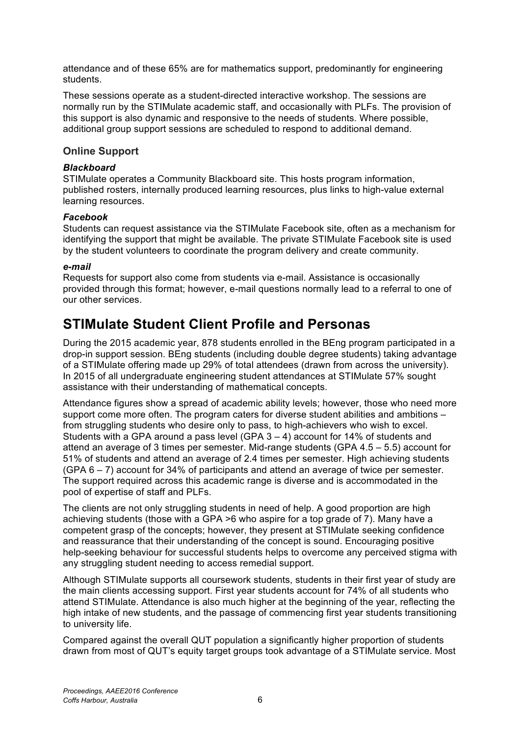attendance and of these 65% are for mathematics support, predominantly for engineering students.

These sessions operate as a student-directed interactive workshop. The sessions are normally run by the STIMulate academic staff, and occasionally with PLFs. The provision of this support is also dynamic and responsive to the needs of students. Where possible, additional group support sessions are scheduled to respond to additional demand.

#### **Online Support**

#### *Blackboard*

STIMulate operates a Community Blackboard site. This hosts program information, published rosters, internally produced learning resources, plus links to high-value external learning resources.

#### *Facebook*

Students can request assistance via the STIMulate Facebook site, often as a mechanism for identifying the support that might be available. The private STIMulate Facebook site is used by the student volunteers to coordinate the program delivery and create community.

#### *e-mail*

Requests for support also come from students via e-mail. Assistance is occasionally provided through this format; however, e-mail questions normally lead to a referral to one of our other services.

## **STIMulate Student Client Profile and Personas**

During the 2015 academic year, 878 students enrolled in the BEng program participated in a drop-in support session. BEng students (including double degree students) taking advantage of a STIMulate offering made up 29% of total attendees (drawn from across the university). In 2015 of all undergraduate engineering student attendances at STIMulate 57% sought assistance with their understanding of mathematical concepts.

Attendance figures show a spread of academic ability levels; however, those who need more support come more often. The program caters for diverse student abilities and ambitions – from struggling students who desire only to pass, to high-achievers who wish to excel. Students with a GPA around a pass level (GPA  $3 - 4$ ) account for 14% of students and attend an average of 3 times per semester. Mid-range students (GPA 4.5 – 5.5) account for 51% of students and attend an average of 2.4 times per semester. High achieving students (GPA 6 – 7) account for 34% of participants and attend an average of twice per semester. The support required across this academic range is diverse and is accommodated in the pool of expertise of staff and PLFs.

The clients are not only struggling students in need of help. A good proportion are high achieving students (those with a GPA >6 who aspire for a top grade of 7). Many have a competent grasp of the concepts; however, they present at STIMulate seeking confidence and reassurance that their understanding of the concept is sound. Encouraging positive help-seeking behaviour for successful students helps to overcome any perceived stigma with any struggling student needing to access remedial support.

Although STIMulate supports all coursework students, students in their first year of study are the main clients accessing support. First year students account for 74% of all students who attend STIMulate. Attendance is also much higher at the beginning of the year, reflecting the high intake of new students, and the passage of commencing first year students transitioning to university life.

Compared against the overall QUT population a significantly higher proportion of students drawn from most of QUT's equity target groups took advantage of a STIMulate service. Most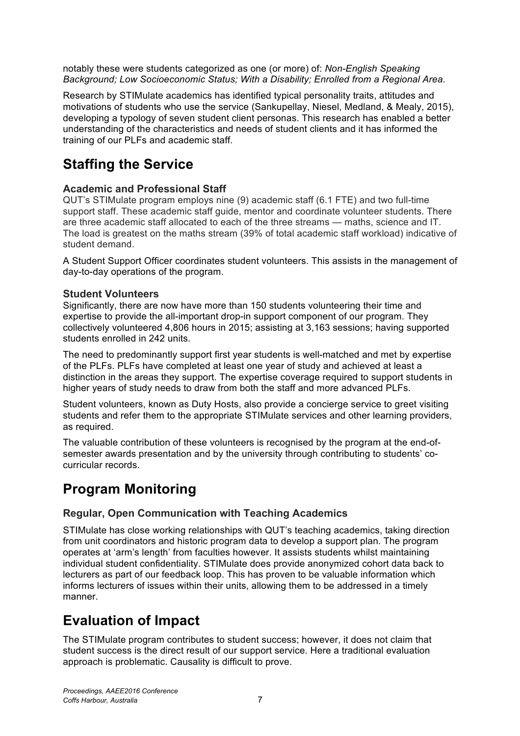notably these were students categorized as one (or more) of: *Non-English Speaking Background; Low Socioeconomic Status; With a Disability; Enrolled from a Regional Area.*

Research by STIMulate academics has identified typical personality traits, attitudes and motivations of students who use the service (Sankupellay, Niesel, Medland, & Mealy, 2015), developing a typology of seven student client personas. This research has enabled a better understanding of the characteristics and needs of student clients and it has informed the training of our PLFs and academic staff.

# **Staffing the Service**

### **Academic and Professional Staff**

QUT's STIMulate program employs nine (9) academic staff (6.1 FTE) and two full-time support staff. These academic staff guide, mentor and coordinate volunteer students. There are three academic staff allocated to each of the three streams — maths, science and IT. The load is greatest on the maths stream (39% of total academic staff workload) indicative of student demand.

A Student Support Officer coordinates student volunteers. This assists in the management of day-to-day operations of the program.

### **Student Volunteers**

Significantly, there are now have more than 150 students volunteering their time and expertise to provide the all-important drop-in support component of our program. They collectively volunteered 4,806 hours in 2015; assisting at 3,163 sessions; having supported students enrolled in 242 units.

The need to predominantly support first year students is well-matched and met by expertise of the PLFs. PLFs have completed at least one year of study and achieved at least a distinction in the areas they support. The expertise coverage required to support students in higher years of study needs to draw from both the staff and more advanced PLFs.

Student volunteers, known as Duty Hosts, also provide a concierge service to greet visiting students and refer them to the appropriate STIMulate services and other learning providers, as required.

The valuable contribution of these volunteers is recognised by the program at the end-ofsemester awards presentation and by the university through contributing to students' cocurricular records.

# **Program Monitoring**

## **Regular, Open Communication with Teaching Academics**

STIMulate has close working relationships with QUT's teaching academics, taking direction from unit coordinators and historic program data to develop a support plan. The program operates at 'arm's length' from faculties however. It assists students whilst maintaining individual student confidentiality. STIMulate does provide anonymized cohort data back to lecturers as part of our feedback loop. This has proven to be valuable information which informs lecturers of issues within their units, allowing them to be addressed in a timely manner.

# **Evaluation of Impact**

The STIMulate program contributes to student success; however, it does not claim that student success is the direct result of our support service. Here a traditional evaluation approach is problematic. Causality is difficult to prove.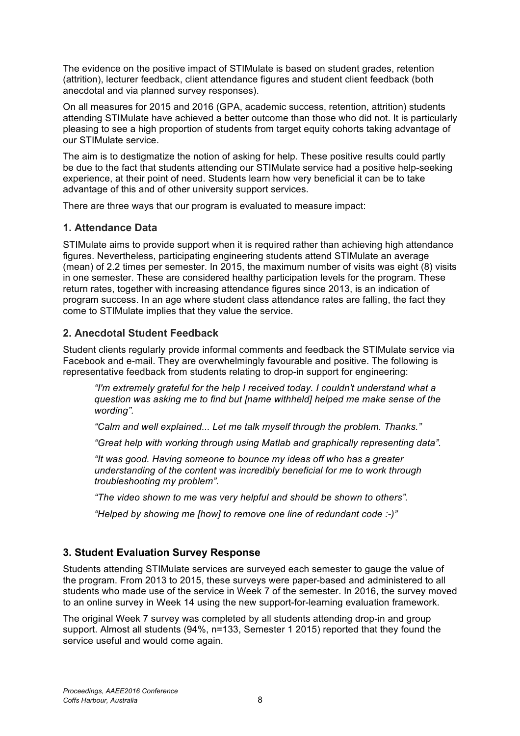The evidence on the positive impact of STIMulate is based on student grades, retention (attrition), lecturer feedback, client attendance figures and student client feedback (both anecdotal and via planned survey responses).

On all measures for 2015 and 2016 (GPA, academic success, retention, attrition) students attending STIMulate have achieved a better outcome than those who did not. It is particularly pleasing to see a high proportion of students from target equity cohorts taking advantage of our STIMulate service.

The aim is to destigmatize the notion of asking for help. These positive results could partly be due to the fact that students attending our STIMulate service had a positive help-seeking experience, at their point of need. Students learn how very beneficial it can be to take advantage of this and of other university support services.

There are three ways that our program is evaluated to measure impact:

#### **1. Attendance Data**

STIMulate aims to provide support when it is required rather than achieving high attendance figures. Nevertheless, participating engineering students attend STIMulate an average (mean) of 2.2 times per semester. In 2015, the maximum number of visits was eight (8) visits in one semester. These are considered healthy participation levels for the program. These return rates, together with increasing attendance figures since 2013, is an indication of program success. In an age where student class attendance rates are falling, the fact they come to STIMulate implies that they value the service.

#### **2. Anecdotal Student Feedback**

Student clients regularly provide informal comments and feedback the STIMulate service via Facebook and e-mail. They are overwhelmingly favourable and positive. The following is representative feedback from students relating to drop-in support for engineering:

*"I'm extremely grateful for the help I received today. I couldn't understand what a question was asking me to find but [name withheld] helped me make sense of the wording".*

*"Calm and well explained... Let me talk myself through the problem. Thanks."*

*"Great help with working through using Matlab and graphically representing data".*

*"It was good. Having someone to bounce my ideas off who has a greater understanding of the content was incredibly beneficial for me to work through troubleshooting my problem".*

*"The video shown to me was very helpful and should be shown to others".* 

*"Helped by showing me [how] to remove one line of redundant code :-)"*

#### **3. Student Evaluation Survey Response**

Students attending STIMulate services are surveyed each semester to gauge the value of the program. From 2013 to 2015, these surveys were paper-based and administered to all students who made use of the service in Week 7 of the semester. In 2016, the survey moved to an online survey in Week 14 using the new support-for-learning evaluation framework.

The original Week 7 survey was completed by all students attending drop-in and group support. Almost all students (94%, n=133, Semester 1 2015) reported that they found the service useful and would come again.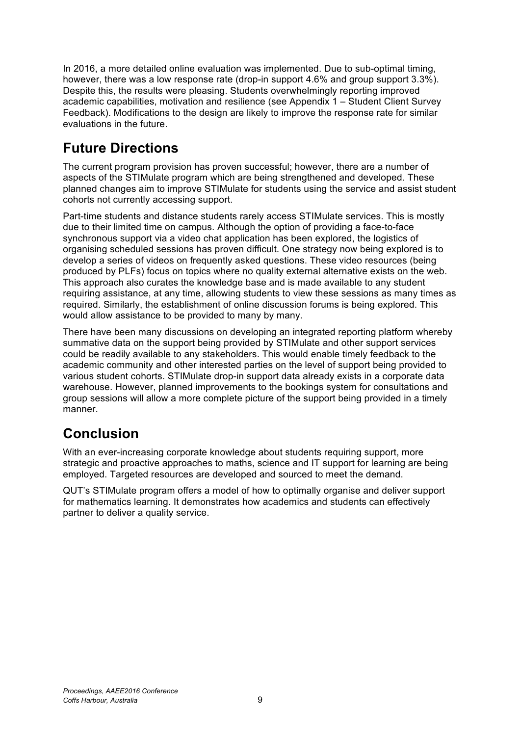In 2016, a more detailed online evaluation was implemented. Due to sub-optimal timing, however, there was a low response rate (drop-in support 4.6% and group support 3.3%). Despite this, the results were pleasing. Students overwhelmingly reporting improved academic capabilities, motivation and resilience (see Appendix 1 – Student Client Survey Feedback). Modifications to the design are likely to improve the response rate for similar evaluations in the future.

# **Future Directions**

The current program provision has proven successful; however, there are a number of aspects of the STIMulate program which are being strengthened and developed. These planned changes aim to improve STIMulate for students using the service and assist student cohorts not currently accessing support.

Part-time students and distance students rarely access STIMulate services. This is mostly due to their limited time on campus. Although the option of providing a face-to-face synchronous support via a video chat application has been explored, the logistics of organising scheduled sessions has proven difficult. One strategy now being explored is to develop a series of videos on frequently asked questions. These video resources (being produced by PLFs) focus on topics where no quality external alternative exists on the web. This approach also curates the knowledge base and is made available to any student requiring assistance, at any time, allowing students to view these sessions as many times as required. Similarly, the establishment of online discussion forums is being explored. This would allow assistance to be provided to many by many.

There have been many discussions on developing an integrated reporting platform whereby summative data on the support being provided by STIMulate and other support services could be readily available to any stakeholders. This would enable timely feedback to the academic community and other interested parties on the level of support being provided to various student cohorts. STIMulate drop-in support data already exists in a corporate data warehouse. However, planned improvements to the bookings system for consultations and group sessions will allow a more complete picture of the support being provided in a timely manner.

# **Conclusion**

With an ever-increasing corporate knowledge about students requiring support, more strategic and proactive approaches to maths, science and IT support for learning are being employed. Targeted resources are developed and sourced to meet the demand.

QUT's STIMulate program offers a model of how to optimally organise and deliver support for mathematics learning. It demonstrates how academics and students can effectively partner to deliver a quality service.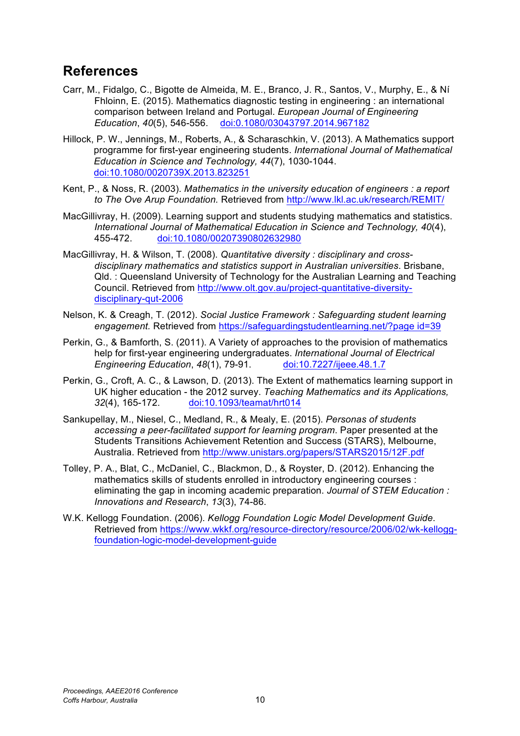## **References**

- Carr, M., Fidalgo, C., Bigotte de Almeida, M. E., Branco, J. R., Santos, V., Murphy, E., & Ní Fhloinn, E. (2015). Mathematics diagnostic testing in engineering : an international comparison between Ireland and Portugal. *European Journal of Engineering Education*, *40*(5), 546-556. doi:0.1080/03043797.2014.967182
- Hillock, P. W., Jennings, M., Roberts, A., & Scharaschkin, V. (2013). A Mathematics support programme for first-year engineering students. *International Journal of Mathematical Education in Science and Technology, 44*(7), 1030-1044. doi:10.1080/0020739X.2013.823251
- Kent, P., & Noss, R. (2003). *Mathematics in the university education of engineers : a report to The Ove Arup Foundation.* Retrieved from http://www.lkl.ac.uk/research/REMIT/
- MacGillivray, H. (2009). Learning support and students studying mathematics and statistics. *International Journal of Mathematical Education in Science and Technology, 40*(4), 455-472. doi:10.1080/00207390802632980
- MacGillivray, H. & Wilson, T. (2008). *Quantitative diversity : disciplinary and crossdisciplinary mathematics and statistics support in Australian universities*. Brisbane, Qld. : Queensland University of Technology for the Australian Learning and Teaching Council. Retrieved from http://www.olt.gov.au/project-quantitative-diversitydisciplinary-qut-2006
- Nelson, K. & Creagh, T. (2012). *Social Justice Framework : Safeguarding student learning engagement.* Retrieved from https://safeguardingstudentlearning.net/?page id=39
- Perkin, G., & Bamforth, S. (2011). A Variety of approaches to the provision of mathematics help for first-year engineering undergraduates. *International Journal of Electrical Engineering Education*, *48*(1), 79-91. doi:10.7227/ijeee.48.1.7
- Perkin, G., Croft, A. C., & Lawson, D. (2013). The Extent of mathematics learning support in UK higher education - the 2012 survey. *Teaching Mathematics and its Applications, 32*(4), 165-172. doi:10.1093/teamat/hrt014
- Sankupellay, M., Niesel, C., Medland, R., & Mealy, E. (2015). *Personas of students accessing a peer-facilitated support for learning program*. Paper presented at the Students Transitions Achievement Retention and Success (STARS), Melbourne, Australia. Retrieved from http://www.unistars.org/papers/STARS2015/12F.pdf
- Tolley, P. A., Blat, C., McDaniel, C., Blackmon, D., & Royster, D. (2012). Enhancing the mathematics skills of students enrolled in introductory engineering courses : eliminating the gap in incoming academic preparation. *Journal of STEM Education : Innovations and Research*, *13*(3), 74-86.
- W.K. Kellogg Foundation. (2006). *Kellogg Foundation Logic Model Development Guide*. Retrieved from https://www.wkkf.org/resource-directory/resource/2006/02/wk-kelloggfoundation-logic-model-development-guide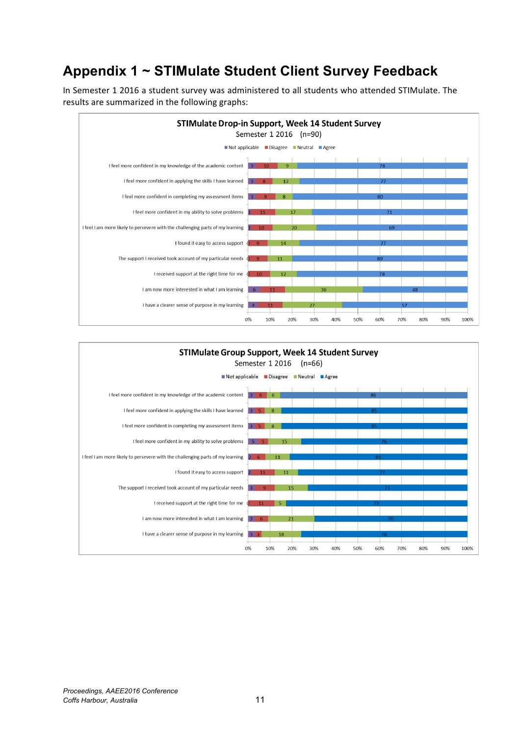# **Appendix 1 ~ STIMulate Student Client Survey Feedback**

In Semester 1 2016 a student survey was administered to all students who attended STIMulate. The results are summarized in the following graphs: